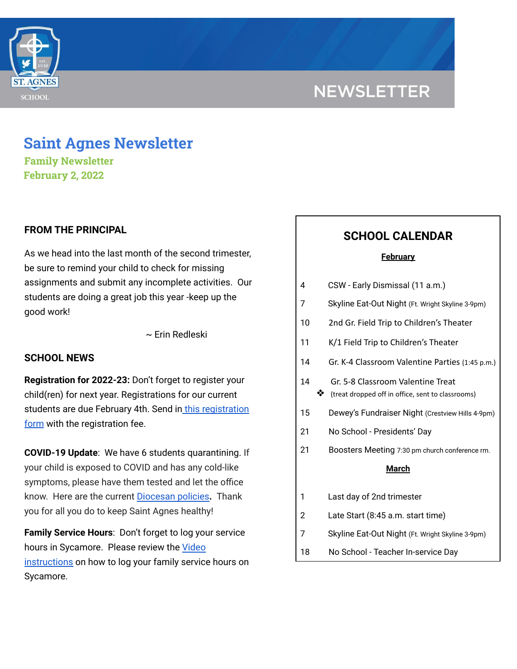

# **Saint Agnes Newsletter**

**Family Newsletter February 2, 2022**

## **FROM THE PRINCIPAL**

As we head into the last month of the second trimester, be sure to remind your child to check for missing assignments and submit any incomplete activities. Our students are doing a great job this year -keep up the good work!

~ Erin Redleski

#### **SCHOOL NEWS**

**Registration for 2022-23:** Don't forget to register your child(ren) for next year. Registrations for our current students are due February 4th. Send in this [registration](https://school.saintagnes.com/wp-content/uploads/2022/02/Re-registration-form-22-23.pdf) [form](https://school.saintagnes.com/wp-content/uploads/2022/02/Re-registration-form-22-23.pdf) with the registration fee.

**COVID-19 Update**: We have 6 students quarantining. If your child is exposed to COVID and has any cold-like symptoms, please have them tested and let the office know. Here are the current [Diocesan](https://school.saintagnes.com/wp-content/uploads/2022/01/COVID-19-School-Requirements-2021-2022-January-Update.pdf) policies**.** Thank you for all you do to keep Saint Agnes healthy!

**Family Service Hours**: Don't forget to log your service hours in Sycamore. Please review the [Video](https://drive.google.com/file/d/1cmYj9N-NF2btSiiG8QdTD20q2RJRpwk7/view?usp=sharing) [instructions](https://drive.google.com/file/d/1cmYj9N-NF2btSiiG8QdTD20q2RJRpwk7/view?usp=sharing) on how to log your family service hours on Sycamore.

## **SCHOOL CALENDAR**

#### **February**

| 4  |   | CSW - Early Dismissal (11 a.m.)                                                        |
|----|---|----------------------------------------------------------------------------------------|
| 7  |   | Skyline Eat-Out Night (Ft. Wright Skyline 3-9pm)                                       |
| 10 |   | 2nd Gr. Field Trip to Children's Theater                                               |
| 11 |   | K/1 Field Trip to Children's Theater                                                   |
| 14 |   | Gr. K-4 Classroom Valentine Parties (1:45 p.m.)                                        |
| 14 | ❖ | Gr. 5-8 Classroom Valentine Treat<br>(treat dropped off in office, sent to classrooms) |
| 15 |   | Dewey's Fundraiser Night (Crestview Hills 4-9pm)                                       |
| 21 |   | No School - Presidents' Day                                                            |
| 21 |   | Boosters Meeting 7:30 pm church conference rm.                                         |
|    |   | <b>March</b>                                                                           |
| 1  |   | Last day of 2nd trimester                                                              |
| 2  |   | Late Start (8:45 a.m. start time)                                                      |
| 7  |   | Skyline Eat-Out Night (Ft. Wright Skyline 3-9pm)                                       |
| 18 |   | No School - Teacher In-service Day                                                     |
|    |   |                                                                                        |

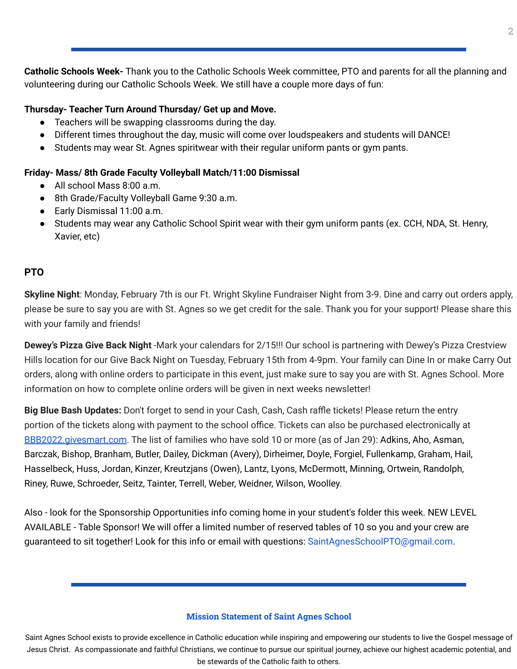**Catholic Schools Week-** Thank you to the Catholic Schools Week committee, PTO and parents for all the planning and volunteering during our Catholic Schools Week. We still have a couple more days of fun:

#### **Thursday- Teacher Turn Around Thursday/ Get up and Move.**

- Teachers will be swapping classrooms during the day.
- Different times throughout the day, music will come over loudspeakers and students will DANCE!
- Students may wear St. Agnes spiritwear with their regular uniform pants or gym pants.

#### **Friday- Mass/ 8th Grade Faculty Volleyball Match/11:00 Dismissal**

- All school Mass 8:00 a.m.
- 8th Grade/Faculty Volleyball Game 9:30 a.m.
- Early Dismissal 11:00 a.m.
- Students may wear any Catholic School Spirit wear with their gym uniform pants (ex. CCH, NDA, St. Henry, Xavier, etc)

## **PTO**

**Skyline Night**: Monday, February 7th is our Ft. Wright Skyline Fundraiser Night from 3-9. Dine and carry out orders apply, please be sure to say you are with St. Agnes so we get credit for the sale. Thank you for your support! Please share this with your family and friends!

**Dewey's Pizza Give Back Night** -Mark your calendars for 2/15!!! Our school is partnering with Dewey's Pizza Crestview Hills location for our Give Back Night on Tuesday, February 15th from 4-9pm. Your family can Dine In or make Carry Out orders, along with online orders to participate in this event, just make sure to say you are with St. Agnes School. More information on how to complete online orders will be given in next weeks newsletter!

**Big Blue Bash Updates:** Don't forget to send in your Cash, Cash, Cash raffle tickets! Please return the entry portion of the tickets along with payment to the school office. Tickets can also be purchased electronically at [BBB2022.givesmart.com](http://bbb2022.givesmart.com/). The list of families who have sold 10 or more (as of Jan 29): Adkins, Aho, Asman, Barczak, Bishop, Branham, Butler, Dailey, Dickman (Avery), Dirheimer, Doyle, Forgiel, Fullenkamp, Graham, Hail, Hasselbeck, Huss, Jordan, Kinzer, Kreutzjans (Owen), Lantz, Lyons, McDermott, Minning, Ortwein, Randolph, Riney, Ruwe, Schroeder, Seitz, Tainter, Terrell, Weber, Weidner, Wilson, Woolley.

Also - look for the Sponsorship Opportunities info coming home in your student's folder this week. NEW LEVEL AVAILABLE - Table Sponsor! We will offer a limited number of reserved tables of 10 so you and your crew are guaranteed to sit together! Look for this info or email with questions: SaintAgnesSchoolPTO@gmail.com.

#### **Mission Statement of Saint Agnes School**

Saint Agnes School exists to provide excellence in Catholic education while inspiring and empowering our students to live the Gospel message of Jesus Christ. As compassionate and faithful Christians, we continue to pursue our spiritual journey, achieve our highest academic potential, and be stewards of the Catholic faith to others.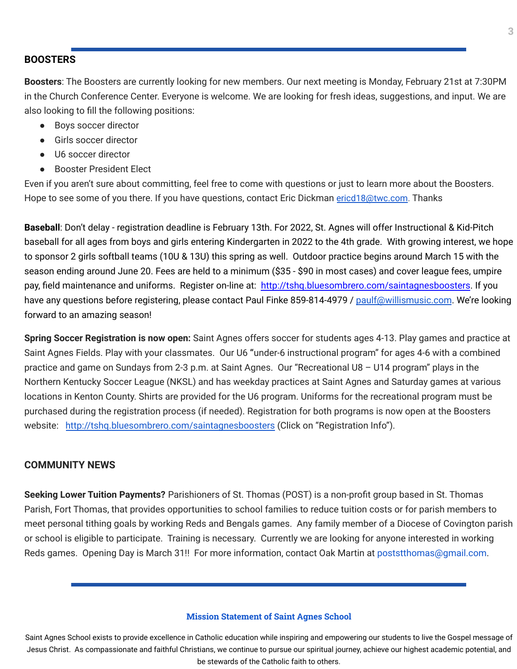### **BOOSTERS**

**Boosters**: The Boosters are currently looking for new members. Our next meeting is Monday, February 21st at 7:30PM in the Church Conference Center. Everyone is welcome. We are looking for fresh ideas, suggestions, and input. We are also looking to fill the following positions:

- Boys soccer director
- Girls soccer director
- U6 soccer director
- Booster President Elect

Even if you aren't sure about committing, feel free to come with questions or just to learn more about the Boosters. Hope to see some of you there. If you have questions, contact Eric Dickman [ericd18@twc.com](mailto:ericd18@twc.com). Thanks

**Baseball**: Don't delay - registration deadline is February 13th. For 2022, St. Agnes will offer Instructional & Kid-Pitch baseball for all ages from boys and girls entering Kindergarten in 2022 to the 4th grade. With growing interest, we hope to sponsor 2 girls softball teams (10U & 13U) this spring as well. Outdoor practice begins around March 15 with the season ending around June 20. Fees are held to a minimum (\$35 - \$90 in most cases) and cover league fees, umpire pay, field maintenance and uniforms. Register on-line at: <http://tshq.bluesombrero.com/saintagnesboosters>. If you have any questions before registering, please contact Paul Finke 859-814-4979 / [paulf@willismusic.com](mailto:paulf@willismusic.com). We're looking forward to an amazing season!

**Spring Soccer Registration is now open:** Saint Agnes offers soccer for students ages 4-13. Play games and practice at Saint Agnes Fields. Play with your classmates. Our U6 **"**under-6 instructional program" for ages 4-6 with a combined practice and game on Sundays from 2-3 p.m. at Saint Agnes. Our "Recreational U8 – U14 program" plays in the Northern Kentucky Soccer League (NKSL) and has weekday practices at Saint Agnes and Saturday games at various locations in Kenton County. Shirts are provided for the U6 program. Uniforms for the recreational program must be purchased during the registration process (if needed). Registration for both programs is now open at the Boosters website: <http://tshq.bluesombrero.com/saintagnesboosters> (Click on "Registration Info").

#### **COMMUNITY NEWS**

**Seeking Lower Tuition Payments?** Parishioners of St. Thomas (POST) is a non-profit group based in St. Thomas Parish, Fort Thomas, that provides opportunities to school families to reduce tuition costs or for parish members to meet personal tithing goals by working Reds and Bengals games. Any family member of a Diocese of Covington parish or school is eligible to participate. Training is necessary. Currently we are looking for anyone interested in working Reds games. Opening Day is March 31!! For more information, contact Oak Martin at poststthomas@gmail.com.

#### **Mission Statement of Saint Agnes School**

Saint Agnes School exists to provide excellence in Catholic education while inspiring and empowering our students to live the Gospel message of Jesus Christ. As compassionate and faithful Christians, we continue to pursue our spiritual journey, achieve our highest academic potential, and be stewards of the Catholic faith to others.